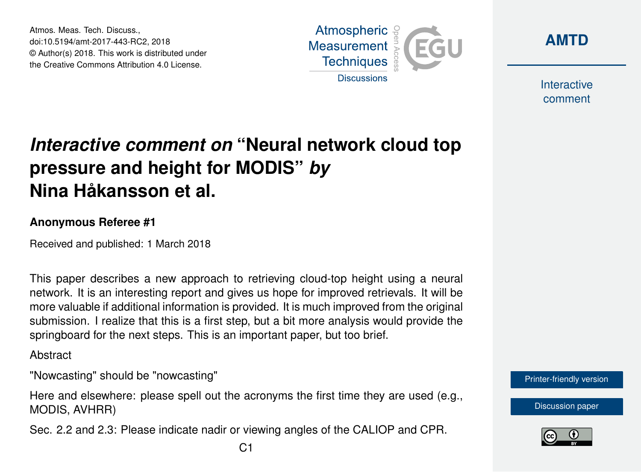Atmos. Meas. Tech. Discuss., doi:10.5194/amt-2017-443-RC2, 2018 © Author(s) 2018. This work is distributed under the Creative Commons Attribution 4.0 License.



**[AMTD](https://www.atmos-meas-tech-discuss.net/)**

Interactive comment

## *Interactive comment on* **"Neural network cloud top pressure and height for MODIS"** *by* **Nina Håkansson et al.**

## **Anonymous Referee #1**

Received and published: 1 March 2018

This paper describes a new approach to retrieving cloud-top height using a neural network. It is an interesting report and gives us hope for improved retrievals. It will be more valuable if additional information is provided. It is much improved from the original submission. I realize that this is a first step, but a bit more analysis would provide the springboard for the next steps. This is an important paper, but too brief.

Abstract

"Nowcasting" should be "nowcasting"

Here and elsewhere: please spell out the acronyms the first time they are used (e.g., MODIS, AVHRR)

Sec. 2.2 and 2.3: Please indicate nadir or viewing angles of the CALIOP and CPR.



[Discussion paper](https://www.atmos-meas-tech-discuss.net/amt-2017-443)

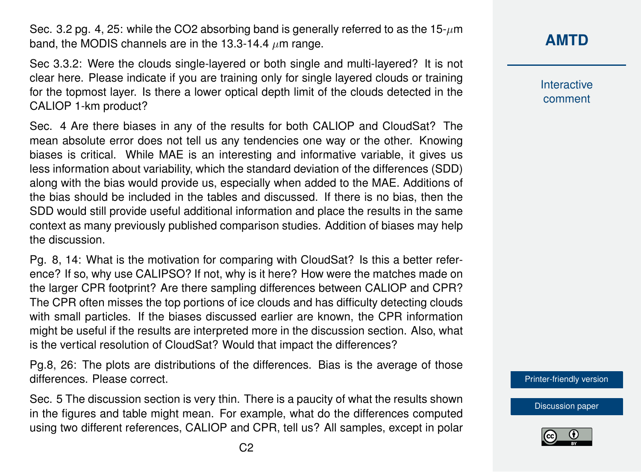Sec. 3.2 pg. 4, 25: while the CO2 absorbing band is generally referred to as the  $15-\mu m$ band, the MODIS channels are in the 13.3-14.4  $\mu$ m range.

Sec 3.3.2: Were the clouds single-layered or both single and multi-layered? It is not clear here. Please indicate if you are training only for single layered clouds or training for the topmost layer. Is there a lower optical depth limit of the clouds detected in the CALIOP 1-km product?

Sec. 4 Are there biases in any of the results for both CALIOP and CloudSat? The mean absolute error does not tell us any tendencies one way or the other. Knowing biases is critical. While MAE is an interesting and informative variable, it gives us less information about variability, which the standard deviation of the differences (SDD) along with the bias would provide us, especially when added to the MAE. Additions of the bias should be included in the tables and discussed. If there is no bias, then the SDD would still provide useful additional information and place the results in the same context as many previously published comparison studies. Addition of biases may help the discussion.

Pg. 8, 14: What is the motivation for comparing with CloudSat? Is this a better reference? If so, why use CALIPSO? If not, why is it here? How were the matches made on the larger CPR footprint? Are there sampling differences between CALIOP and CPR? The CPR often misses the top portions of ice clouds and has difficulty detecting clouds with small particles. If the biases discussed earlier are known, the CPR information might be useful if the results are interpreted more in the discussion section. Also, what is the vertical resolution of CloudSat? Would that impact the differences?

Pg.8, 26: The plots are distributions of the differences. Bias is the average of those differences. Please correct.

Sec. 5 The discussion section is very thin. There is a paucity of what the results shown in the figures and table might mean. For example, what do the differences computed using two different references, CALIOP and CPR, tell us? All samples, except in polar Interactive comment

[Printer-friendly version](https://www.atmos-meas-tech-discuss.net/amt-2017-443/amt-2017-443-RC2-print.pdf)

[Discussion paper](https://www.atmos-meas-tech-discuss.net/amt-2017-443)